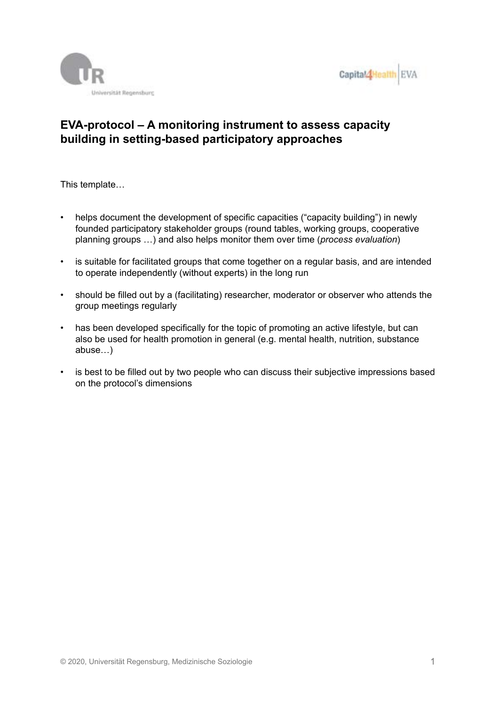



# **EVA-protocol – A monitoring instrument to assess capacity building in setting-based participatory approaches**

This template…

- helps document the development of specific capacities ("capacity building") in newly founded participatory stakeholder groups (round tables, working groups, cooperative planning groups …) and also helps monitor them over time (*process evaluation*)
- is suitable for facilitated groups that come together on a regular basis, and are intended to operate independently (without experts) in the long run
- should be filled out by a (facilitating) researcher, moderator or observer who attends the group meetings regularly
- has been developed specifically for the topic of promoting an active lifestyle, but can also be used for health promotion in general (e.g. mental health, nutrition, substance abuse…)
- is best to be filled out by two people who can discuss their subjective impressions based on the protocol's dimensions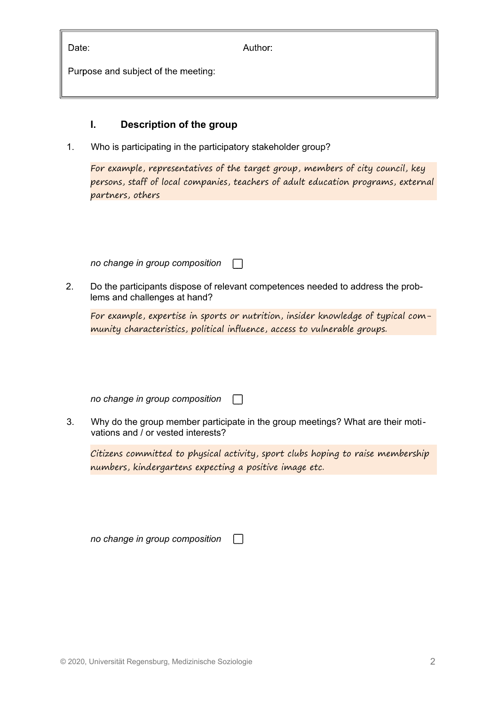| Date:                               | Author: |
|-------------------------------------|---------|
| Purpose and subject of the meeting: |         |

### **I. Description of the group**

1. Who is participating in the participatory stakeholder group?

For example, representatives of the target group, members of city council, key persons, staff of local companies, teachers of adult education programs, external partners, others

*no change in group composition*  $\Box$ 

2. Do the participants dispose of relevant competences needed to address the problems and challenges at hand?

For example, expertise in sports or nutrition, insider knowledge of typical community characteristics, political influence, access to vulnerable groups.

*no change in group composition*

3. Why do the group member participate in the group meetings? What are their motivations and / or vested interests?

 $\mathcal{L}$ 

Citizens committed to physical activity, sport clubs hoping to raise membership numbers, kindergartens expecting a positive image etc.

*no change in group composition*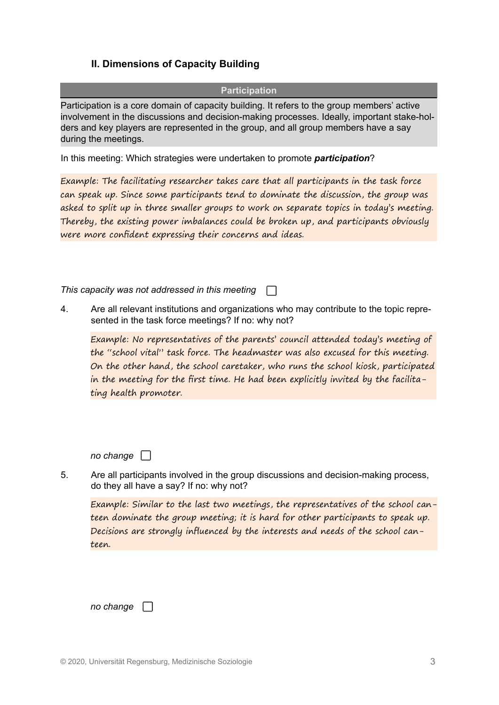## **II. Dimensions of Capacity Building**

**Participation**

Participation is a core domain of capacity building. It refers to the group members' active involvement in the discussions and decision-making processes. Ideally, important stake-holders and key players are represented in the group, and all group members have a say during the meetings.

In this meeting: Which strategies were undertaken to promote *participation*?

Example: The facilitating researcher takes care that all participants in the task force can speak up. Since some participants tend to dominate the discussion, the group was asked to split up in three smaller groups to work on separate topics in today's meeting. Thereby, the existing power imbalances could be broken up, and participants obviously were more confident expressing their concerns and ideas.

*This capacity was not addressed in this meeting*

4. Are all relevant institutions and organizations who may contribute to the topic represented in the task force meetings? If no: why not?

Example: No representatives of the parents' council attended today's meeting of the "school vital" task force. The headmaster was also excused for this meeting. On the other hand, the school caretaker, who runs the school kiosk, participated in the meeting for the first time. He had been explicitly invited by the facilitating health promoter.

*no change* 

5. Are all participants involved in the group discussions and decision-making process, do they all have a say? If no: why not?

Example: Similar to the last two meetings, the representatives of the school canteen dominate the group meeting; it is hard for other participants to speak up. Decisions are strongly influenced by the interests and needs of the school canteen.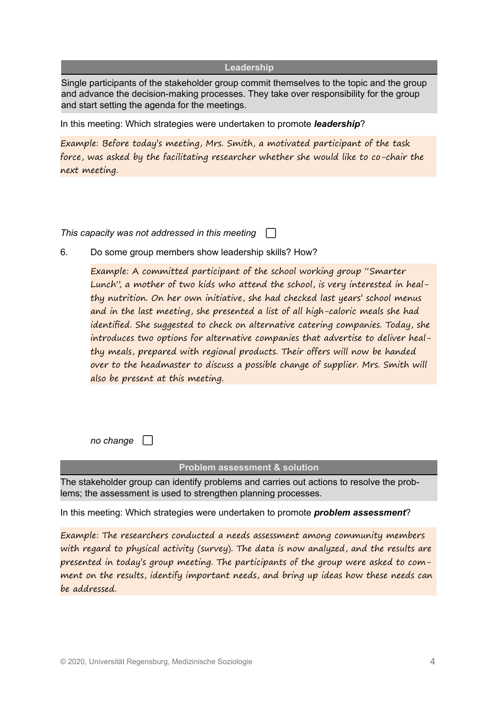#### **Leadership**

Single participants of the stakeholder group commit themselves to the topic and the group and advance the decision-making processes. They take over responsibility for the group and start setting the agenda for the meetings.

In this meeting: Which strategies were undertaken to promote *leadership*?

Example: Before today's meeting, Mrs. Smith, a motivated participant of the task force, was asked by the facilitating researcher whether she would like to co-chair the next meeting.

*This capacity was not addressed in this meeting*

6. Do some group members show leadership skills? How?

Example: A committed participant of the school working group "Smarter Lunch", a mother of two kids who attend the school, is very interested in healthy nutrition. On her own initiative, she had checked last years' school menus and in the last meeting, she presented a list of all high-caloric meals she had identified. She suggested to check on alternative catering companies. Today, she introduces two options for alternative companies that advertise to deliver healthy meals, prepared with regional products. Their offers will now be handed over to the headmaster to discuss a possible change of supplier. Mrs. Smith will also be present at this meeting.

*no change* 

#### **Problem assessment & solution**

The stakeholder group can identify problems and carries out actions to resolve the problems; the assessment is used to strengthen planning processes.

In this meeting: Which strategies were undertaken to promote *problem assessment*?

Example: The researchers conducted a needs assessment among community members with regard to physical activity (survey). The data is now analyzed, and the results are presented in today's group meeting. The participants of the group were asked to comment on the results, identify important needs, and bring up ideas how these needs can be addressed.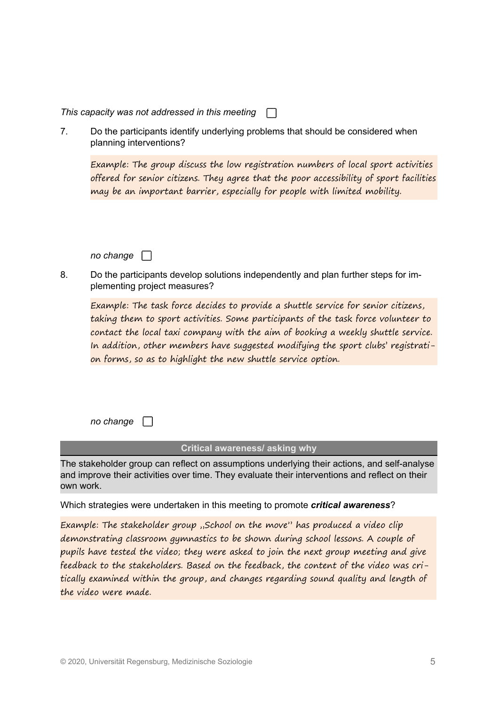| This capacity was not addressed in this meeting |  |
|-------------------------------------------------|--|
|-------------------------------------------------|--|

7. Do the participants identify underlying problems that should be considered when planning interventions?

Example: The group discuss the low registration numbers of local sport activities offered for senior citizens. They agree that the poor accessibility of sport facilities may be an important barrier, especially for people with limited mobility.

*no change* 

8. Do the participants develop solutions independently and plan further steps for implementing project measures?

Example: The task force decides to provide a shuttle service for senior citizens, taking them to sport activities. Some participants of the task force volunteer to contact the local taxi company with the aim of booking a weekly shuttle service. In addition, other members have suggested modifying the sport clubs' registration forms, so as to highlight the new shuttle service option.

*no change* 

#### **Critical awareness/ asking why**

The stakeholder group can reflect on assumptions underlying their actions, and self-analyse and improve their activities over time. They evaluate their interventions and reflect on their own work.

Which strategies were undertaken in this meeting to promote *critical awareness*?

Example: The stakeholder group "School on the move" has produced a video clip demonstrating classroom gymnastics to be shown during school lessons. A couple of pupils have tested the video; they were asked to join the next group meeting and give feedback to the stakeholders. Based on the feedback, the content of the video was critically examined within the group, and changes regarding sound quality and length of the video were made.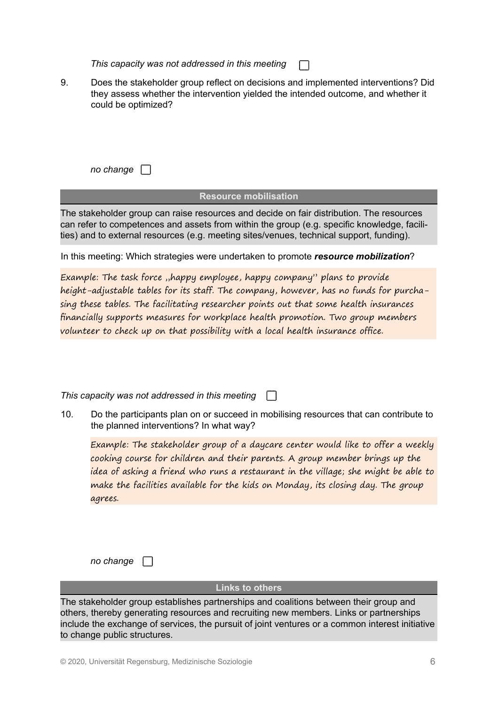*This capacity was not addressed in this meeting*

- $\mathbf{I}$
- 9. Does the stakeholder group reflect on decisions and implemented interventions? Did they assess whether the intervention yielded the intended outcome, and whether it could be optimized?

*no change* 

### **Resource mobilisation**

The stakeholder group can raise resources and decide on fair distribution. The resources can refer to competences and assets from within the group (e.g. specific knowledge, facilities) and to external resources (e.g. meeting sites/venues, technical support, funding).

In this meeting: Which strategies were undertaken to promote *resource mobilization*?

Example: The task force "happy employee, happy company" plans to provide height-adjustable tables for its staff. The company, however, has no funds for purchasing these tables. The facilitating researcher points out that some health insurances financially supports measures for workplace health promotion. Two group members volunteer to check up on that possibility with a local health insurance office.

*This capacity was not addressed in this meeting*

10. Do the participants plan on or succeed in mobilising resources that can contribute to the planned interventions? In what way?

Example: The stakeholder group of a daycare center would like to offer a weekly cooking course for children and their parents. A group member brings up the idea of asking a friend who runs a restaurant in the village; she might be able to make the facilities available for the kids on Monday, its closing day. The group agrees.

*no change* 

#### **Links to others**

The stakeholder group establishes partnerships and coalitions between their group and others, thereby generating resources and recruiting new members. Links or partnerships include the exchange of services, the pursuit of joint ventures or a common interest initiative to change public structures.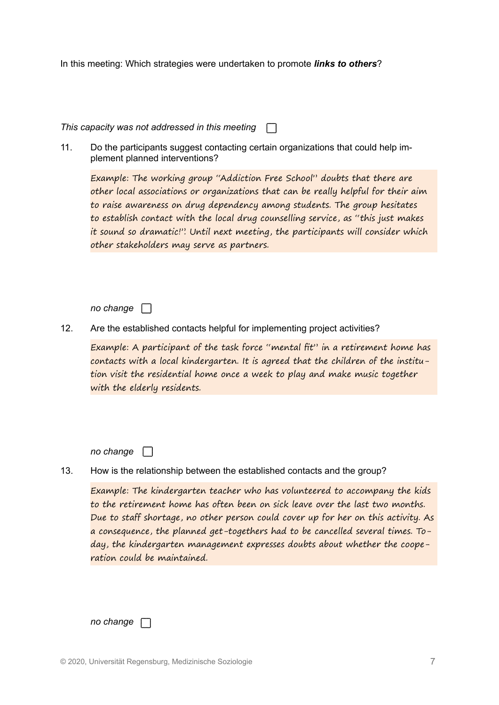In this meeting: Which strategies were undertaken to promote *links to others*?

*This capacity was not addressed in this meeting*

11. Do the participants suggest contacting certain organizations that could help implement planned interventions?

Example: The working group "Addiction Free School" doubts that there are other local associations or organizations that can be really helpful for their aim to raise awareness on drug dependency among students. The group hesitates to establish contact with the local drug counselling service, as "this just makes it sound so dramatic!". Until next meeting, the participants will consider which other stakeholders may serve as partners.

*no change* 

12. Are the established contacts helpful for implementing project activities?

Example: A participant of the task force "mental fit" in a retirement home has contacts with a local kindergarten. It is agreed that the children of the institution visit the residential home once a week to play and make music together with the elderly residents.

*no change* 

13. How is the relationship between the established contacts and the group?

Example: The kindergarten teacher who has volunteered to accompany the kids to the retirement home has often been on sick leave over the last two months. Due to staff shortage, no other person could cover up for her on this activity. As a consequence, the planned get-togethers had to be cancelled several times. Today, the kindergarten management expresses doubts about whether the cooperation could be maintained.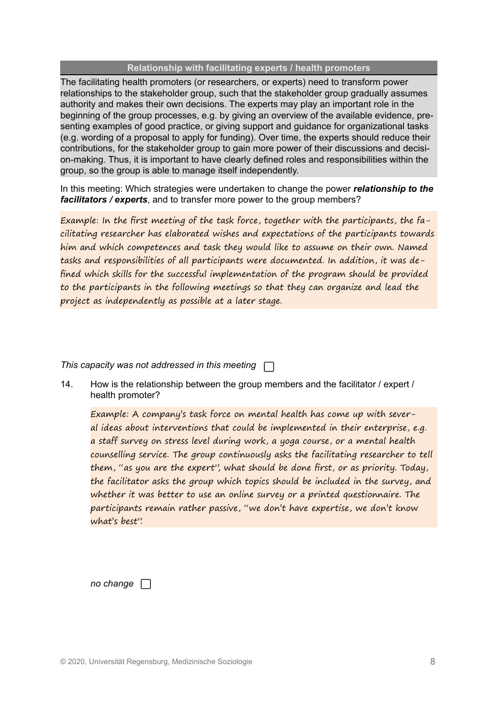#### **Relationship with facilitating experts / health promoters**

The facilitating health promoters (or researchers, or experts) need to transform power relationships to the stakeholder group, such that the stakeholder group gradually assumes authority and makes their own decisions. The experts may play an important role in the beginning of the group processes, e.g. by giving an overview of the available evidence, presenting examples of good practice, or giving support and guidance for organizational tasks (e.g. wording of a proposal to apply for funding). Over time, the experts should reduce their contributions, for the stakeholder group to gain more power of their discussions and decision-making. Thus, it is important to have clearly defined roles and responsibilities within the group, so the group is able to manage itself independently.

In this meeting: Which strategies were undertaken to change the power *relationship to the facilitators / experts*, and to transfer more power to the group members?

Example: In the first meeting of the task force, together with the participants, the facilitating researcher has elaborated wishes and expectations of the participants towards him and which competences and task they would like to assume on their own. Named tasks and responsibilities of all participants were documented. In addition, it was defined which skills for the successful implementation of the program should be provided to the participants in the following meetings so that they can organize and lead the project as independently as possible at a later stage.

*This capacity was not addressed in this meeting*

14. How is the relationship between the group members and the facilitator / expert / health promoter?

Example: A company's task force on mental health has come up with several ideas about interventions that could be implemented in their enterprise, e.g. a staff survey on stress level during work, a yoga course, or a mental health counselling service. The group continuously asks the facilitating researcher to tell them, "as you are the expert", what should be done first, or as priority. Today, the facilitator asks the group which topics should be included in the survey, and whether it was better to use an online survey or a printed questionnaire. The participants remain rather passive, "we don't have expertise, we don't know what's best".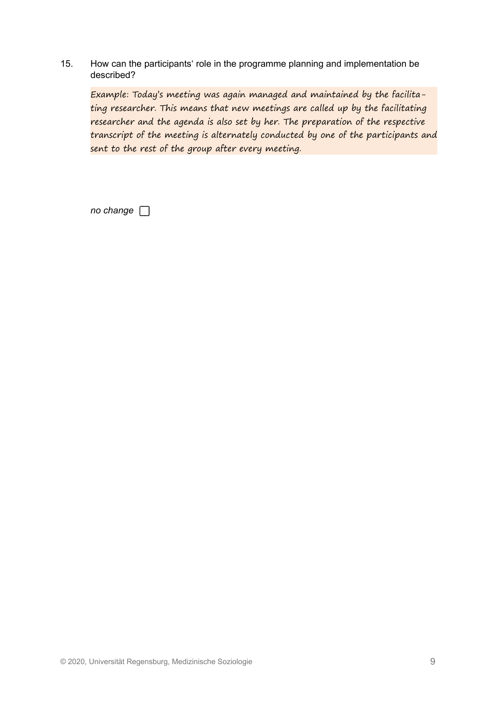15. How can the participants' role in the programme planning and implementation be described?

Example: Today's meeting was again managed and maintained by the facilitating researcher. This means that new meetings are called up by the facilitating researcher and the agenda is also set by her. The preparation of the respective transcript of the meeting is alternately conducted by one of the participants and sent to the rest of the group after every meeting.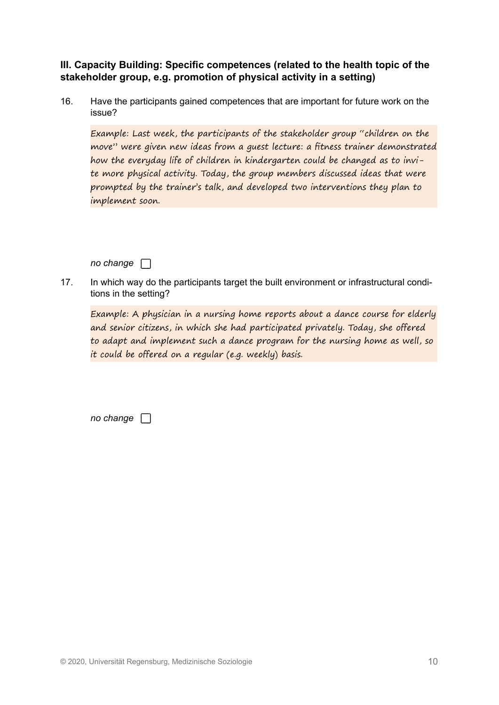**III. Capacity Building: Specific competences (related to the health topic of the stakeholder group, e.g. promotion of physical activity in a setting)**

16. Have the participants gained competences that are important for future work on the issue?

Example: Last week, the participants of the stakeholder group "children on the move" were given new ideas from a guest lecture: a fitness trainer demonstrated how the everyday life of children in kindergarten could be changed as to invite more physical activity. Today, the group members discussed ideas that were prompted by the trainer's talk, and developed two interventions they plan to implement soon.

*no change* 

17. In which way do the participants target the built environment or infrastructural conditions in the setting?

Example: A physician in a nursing home reports about a dance course for elderly and senior citizens, in which she had participated privately. Today, she offered to adapt and implement such a dance program for the nursing home as well, so it could be offered on a regular (e.g. weekly) basis.